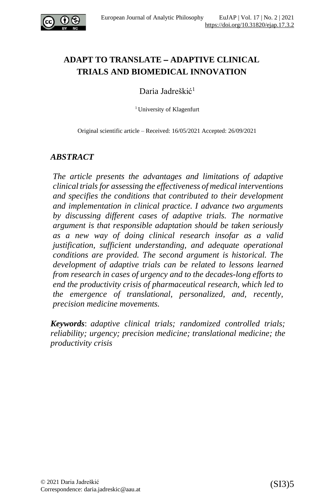

# **ADAPT TO TRANSLATE** – **ADAPTIVE CLINICAL TRIALS AND BIOMEDICAL INNOVATION**

Daria Jadreškić<sup>1</sup>

<sup>1</sup> University of Klagenfurt

Original scientific article – Received: 16/05/2021 Accepted: 26/09/2021

### *ABSTRACT*

*The article presents the advantages and limitations of adaptive clinical trials for assessing the effectiveness of medical interventions and specifies the conditions that contributed to their development and implementation in clinical practice. I advance two arguments by discussing different cases of adaptive trials. The normative argument is that responsible adaptation should be taken seriously as a new way of doing clinical research insofar as a valid justification, sufficient understanding, and adequate operational conditions are provided. The second argument is historical. The development of adaptive trials can be related to lessons learned from research in cases of urgency and to the decades-long efforts to end the productivity crisis of pharmaceutical research, which led to the emergence of translational, personalized, and, recently, precision medicine movements.*

*Keywords*: *adaptive clinical trials; randomized controlled trials; reliability; urgency; precision medicine; translational medicine; the productivity crisis*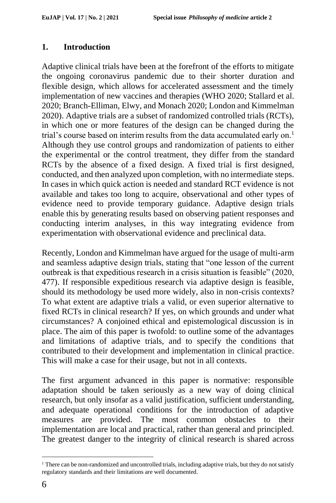### **1. Introduction**

Adaptive clinical trials have been at the forefront of the efforts to mitigate the ongoing coronavirus pandemic due to their shorter duration and flexible design, which allows for accelerated assessment and the timely implementation of new vaccines and therapies (WHO 2020; Stallard et al. 2020; Branch-Elliman, Elwy, and Monach 2020; London and Kimmelman 2020). Adaptive trials are a subset of randomized controlled trials (RCTs), in which one or more features of the design can be changed during the trial's course based on interim results from the data accumulated early on.<sup>1</sup> Although they use control groups and randomization of patients to either the experimental or the control treatment, they differ from the standard RCTs by the absence of a fixed design. A fixed trial is first designed, conducted, and then analyzed upon completion, with no intermediate steps. In cases in which quick action is needed and standard RCT evidence is not available and takes too long to acquire, observational and other types of evidence need to provide temporary guidance. Adaptive design trials enable this by generating results based on observing patient responses and conducting interim analyses, in this way integrating evidence from experimentation with observational evidence and preclinical data.

Recently, London and Kimmelman have argued for the usage of multi-arm and seamless adaptive design trials, stating that "one lesson of the current outbreak is that expeditious research in a crisis situation is feasible" (2020, 477). If responsible expeditious research via adaptive design is feasible, should its methodology be used more widely, also in non-crisis contexts? To what extent are adaptive trials a valid, or even superior alternative to fixed RCTs in clinical research? If yes, on which grounds and under what circumstances? A conjoined ethical and epistemological discussion is in place. The aim of this paper is twofold: to outline some of the advantages and limitations of adaptive trials, and to specify the conditions that contributed to their development and implementation in clinical practice. This will make a case for their usage, but not in all contexts.

The first argument advanced in this paper is normative: responsible adaptation should be taken seriously as a new way of doing clinical research, but only insofar as a valid justification, sufficient understanding, and adequate operational conditions for the introduction of adaptive measures are provided. The most common obstacles to their implementation are local and practical, rather than general and principled. The greatest danger to the integrity of clinical research is shared across

<sup>&</sup>lt;sup>1</sup> There can be non-randomized and uncontrolled trials, including adaptive trials, but they do not satisfy regulatory standards and their limitations are well documented.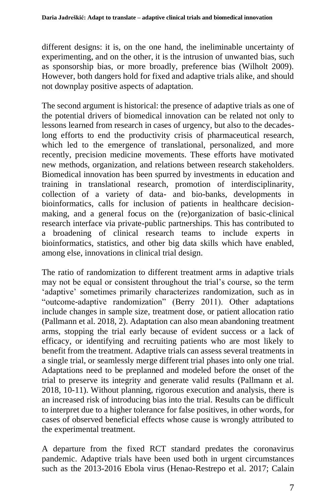different designs: it is, on the one hand, the ineliminable uncertainty of experimenting, and on the other, it is the intrusion of unwanted bias, such as sponsorship bias, or more broadly, preference bias (Wilholt 2009). However, both dangers hold for fixed and adaptive trials alike, and should not downplay positive aspects of adaptation.

The second argument is historical: the presence of adaptive trials as one of the potential drivers of biomedical innovation can be related not only to lessons learned from research in cases of urgency, but also to the decadeslong efforts to end the productivity crisis of pharmaceutical research, which led to the emergence of translational, personalized, and more recently, precision medicine movements. These efforts have motivated new methods, organization, and relations between research stakeholders. Biomedical innovation has been spurred by investments in education and training in translational research, promotion of interdisciplinarity, collection of a variety of data- and bio-banks, developments in bioinformatics, calls for inclusion of patients in healthcare decisionmaking, and a general focus on the (re)organization of basic-clinical research interface via private-public partnerships. This has contributed to a broadening of clinical research teams to include experts in bioinformatics, statistics, and other big data skills which have enabled, among else, innovations in clinical trial design.

The ratio of randomization to different treatment arms in adaptive trials may not be equal or consistent throughout the trial's course, so the term 'adaptive' sometimes primarily characterizes randomization, such as in "outcome-adaptive randomization" (Berry 2011). Other adaptations include changes in sample size, treatment dose, or patient allocation ratio (Pallmann et al. 2018, 2). Adaptation can also mean abandoning treatment arms, stopping the trial early because of evident success or a lack of efficacy, or identifying and recruiting patients who are most likely to benefit from the treatment. Adaptive trials can assess several treatments in a single trial, or seamlessly merge different trial phases into only one trial. Adaptations need to be preplanned and modeled before the onset of the trial to preserve its integrity and generate valid results (Pallmann et al. 2018, 10-11). Without planning, rigorous execution and analysis, there is an increased risk of introducing bias into the trial. Results can be difficult to interpret due to a higher tolerance for false positives, in other words, for cases of observed beneficial effects whose cause is wrongly attributed to the experimental treatment.

A departure from the fixed RCT standard predates the coronavirus pandemic. Adaptive trials have been used both in urgent circumstances such as the 2013-2016 Ebola virus (Henao-Restrepo et al. 2017; Calain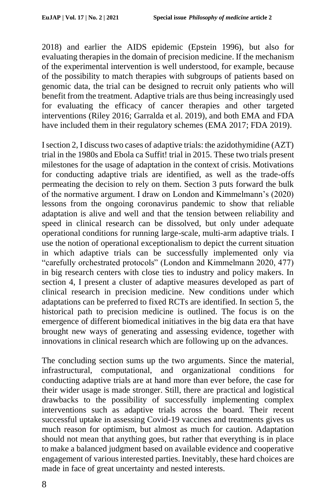2018) and earlier the AIDS epidemic (Epstein 1996), but also for evaluating therapies in the domain of precision medicine. If the mechanism of the experimental intervention is well understood, for example, because of the possibility to match therapies with subgroups of patients based on genomic data, the trial can be designed to recruit only patients who will benefit from the treatment. Adaptive trials are thus being increasingly used for evaluating the efficacy of cancer therapies and other targeted interventions (Riley 2016; Garralda et al. 2019), and both EMA and FDA have included them in their regulatory schemes (EMA 2017; FDA 2019).

I section 2, I discuss two cases of adaptive trials: the azidothymidine (AZT) trial in the 1980s and Ebola ca Suffit! trial in 2015. These two trials present milestones for the usage of adaptation in the context of crisis. Motivations for conducting adaptive trials are identified, as well as the trade-offs permeating the decision to rely on them. Section 3 puts forward the bulk of the normative argument. I draw on London and Kimmelmann's (2020) lessons from the ongoing coronavirus pandemic to show that reliable adaptation is alive and well and that the tension between reliability and speed in clinical research can be dissolved, but only under adequate operational conditions for running large-scale, multi-arm adaptive trials. I use the notion of operational exceptionalism to depict the current situation in which adaptive trials can be successfully implemented only via "carefully orchestrated protocols" (London and Kimmelmann 2020, 477) in big research centers with close ties to industry and policy makers. In section 4, I present a cluster of adaptive measures developed as part of clinical research in precision medicine. New conditions under which adaptations can be preferred to fixed RCTs are identified. In section 5, the historical path to precision medicine is outlined. The focus is on the emergence of different biomedical initiatives in the big data era that have brought new ways of generating and assessing evidence, together with innovations in clinical research which are following up on the advances.

The concluding section sums up the two arguments. Since the material, infrastructural, computational, and organizational conditions for conducting adaptive trials are at hand more than ever before, the case for their wider usage is made stronger. Still, there are practical and logistical drawbacks to the possibility of successfully implementing complex interventions such as adaptive trials across the board. Their recent successful uptake in assessing Covid-19 vaccines and treatments gives us much reason for optimism, but almost as much for caution. Adaptation should not mean that anything goes, but rather that everything is in place to make a balanced judgment based on available evidence and cooperative engagement of various interested parties. Inevitably, these hard choices are made in face of great uncertainty and nested interests.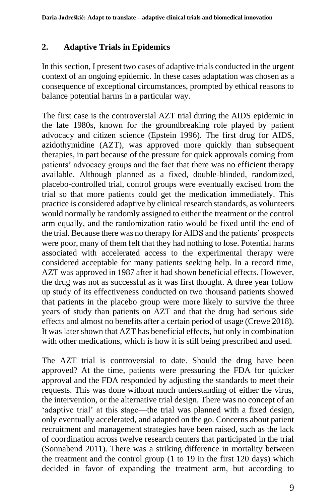## **2. Adaptive Trials in Epidemics**

In this section, I present two cases of adaptive trials conducted in the urgent context of an ongoing epidemic. In these cases adaptation was chosen as a consequence of exceptional circumstances, prompted by ethical reasons to balance potential harms in a particular way.

The first case is the controversial AZT trial during the AIDS epidemic in the late 1980s, known for the groundbreaking role played by patient advocacy and citizen science (Epstein 1996). The first drug for AIDS, azidothymidine (AZT), was approved more quickly than subsequent therapies, in part because of the pressure for quick approvals coming from patients' advocacy groups and the fact that there was no efficient therapy available. Although planned as a fixed, double-blinded, randomized, placebo-controlled trial, control groups were eventually excised from the trial so that more patients could get the medication immediately. This practice is considered adaptive by clinical research standards, as volunteers would normally be randomly assigned to either the treatment or the control arm equally, and the randomization ratio would be fixed until the end of the trial. Because there was no therapy for AIDS and the patients' prospects were poor, many of them felt that they had nothing to lose. Potential harms associated with accelerated access to the experimental therapy were considered acceptable for many patients seeking help. In a record time, AZT was approved in 1987 after it had shown beneficial effects. However, the drug was not as successful as it was first thought. A three year follow up study of its effectiveness conducted on two thousand patients showed that patients in the placebo group were more likely to survive the three years of study than patients on AZT and that the drug had serious side effects and almost no benefits after a certain period of usage (Crewe 2018). It was later shown that AZT has beneficial effects, but only in combination with other medications, which is how it is still being prescribed and used.

The AZT trial is controversial to date. Should the drug have been approved? At the time, patients were pressuring the FDA for quicker approval and the FDA responded by adjusting the standards to meet their requests. This was done without much understanding of either the virus, the intervention, or the alternative trial design. There was no concept of an 'adaptive trial' at this stage––the trial was planned with a fixed design, only eventually accelerated, and adapted on the go. Concerns about patient recruitment and management strategies have been raised, such as the lack of coordination across twelve research centers that participated in the trial (Sonnabend 2011). There was a striking difference in mortality between the treatment and the control group (1 to 19 in the first 120 days) which decided in favor of expanding the treatment arm, but according to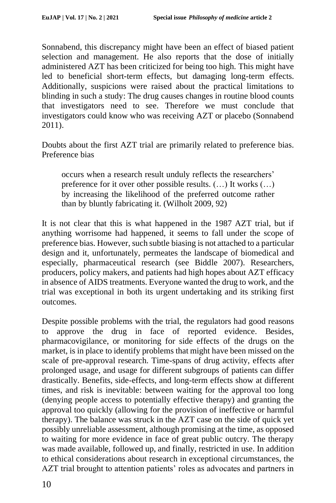Sonnabend, this discrepancy might have been an effect of biased patient selection and management. He also reports that the dose of initially administered AZT has been criticized for being too high. This might have led to beneficial short-term effects, but damaging long-term effects. Additionally, suspicions were raised about the practical limitations to blinding in such a study: The drug causes changes in routine blood counts that investigators need to see. Therefore we must conclude that investigators could know who was receiving AZT or placebo (Sonnabend 2011).

Doubts about the first AZT trial are primarily related to preference bias. Preference bias

occurs when a research result unduly reflects the researchers' preference for it over other possible results. (…) It works (…) by increasing the likelihood of the preferred outcome rather than by bluntly fabricating it. (Wilholt 2009, 92)

It is not clear that this is what happened in the 1987 AZT trial, but if anything worrisome had happened, it seems to fall under the scope of preference bias. However, such subtle biasing is not attached to a particular design and it, unfortunately, permeates the landscape of biomedical and especially, pharmaceutical research (see Biddle 2007). Researchers, producers, policy makers, and patients had high hopes about AZT efficacy in absence of AIDS treatments. Everyone wanted the drug to work, and the trial was exceptional in both its urgent undertaking and its striking first outcomes.

Despite possible problems with the trial, the regulators had good reasons to approve the drug in face of reported evidence. Besides, pharmacovigilance, or monitoring for side effects of the drugs on the market, is in place to identify problems that might have been missed on the scale of pre-approval research. Time-spans of drug activity, effects after prolonged usage, and usage for different subgroups of patients can differ drastically. Benefits, side-effects, and long-term effects show at different times, and risk is inevitable: between waiting for the approval too long (denying people access to potentially effective therapy) and granting the approval too quickly (allowing for the provision of ineffective or harmful therapy). The balance was struck in the AZT case on the side of quick yet possibly unreliable assessment, although promising at the time, as opposed to waiting for more evidence in face of great public outcry. The therapy was made available, followed up, and finally, restricted in use. In addition to ethical considerations about research in exceptional circumstances, the AZT trial brought to attention patients' roles as advocates and partners in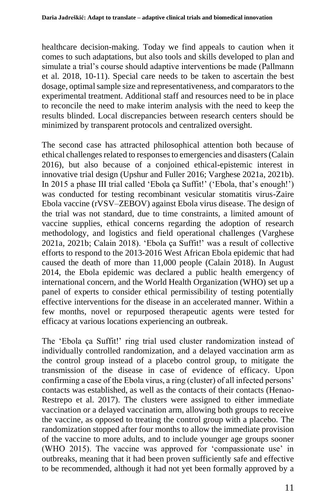healthcare decision-making. Today we find appeals to caution when it comes to such adaptations, but also tools and skills developed to plan and simulate a trial's course should adaptive interventions be made (Pallmann et al. 2018, 10-11). Special care needs to be taken to ascertain the best dosage, optimal sample size and representativeness, and comparators to the experimental treatment. Additional staff and resources need to be in place to reconcile the need to make interim analysis with the need to keep the results blinded. Local discrepancies between research centers should be minimized by transparent protocols and centralized oversight.

The second case has attracted philosophical attention both because of ethical challenges related to responses to emergencies and disasters (Calain 2016), but also because of a conjoined ethical-epistemic interest in innovative trial design (Upshur and Fuller 2016; Varghese 2021a, 2021b). In 2015 a phase III trial called 'Ebola ça Suffit!' ('Ebola, that's enough!') was conducted for testing recombinant vesicular stomatitis virus-Zaire Ebola vaccine (rVSV–ZEBOV) against Ebola virus disease. The design of the trial was not standard, due to time constraints, a limited amount of vaccine supplies, ethical concerns regarding the adoption of research methodology, and logistics and field operational challenges (Varghese 2021a, 2021b; Calain 2018). 'Ebola ça Suffit!' was a result of collective efforts to respond to the 2013-2016 West African Ebola epidemic that had caused the death of more than 11,000 people (Calain 2018). In August 2014, the Ebola epidemic was declared a public health emergency of international concern, and the World Health Organization (WHO) set up a panel of experts to consider ethical permissibility of testing potentially effective interventions for the disease in an accelerated manner. Within a few months, novel or repurposed therapeutic agents were tested for efficacy at various locations experiencing an outbreak.

The 'Ebola ça Suffit!' ring trial used cluster randomization instead of individually controlled randomization, and a delayed vaccination arm as the control group instead of a placebo control group, to mitigate the transmission of the disease in case of evidence of efficacy. Upon confirming a case of the Ebola virus, a ring (cluster) of all infected persons' contacts was established, as well as the contacts of their contacts (Henao-Restrepo et al. 2017). The clusters were assigned to either immediate vaccination or a delayed vaccination arm, allowing both groups to receive the vaccine, as opposed to treating the control group with a placebo. The randomization stopped after four months to allow the immediate provision of the vaccine to more adults, and to include younger age groups sooner (WHO 2015). The vaccine was approved for 'compassionate use' in outbreaks, meaning that it had been proven sufficiently safe and effective to be recommended, although it had not yet been formally approved by a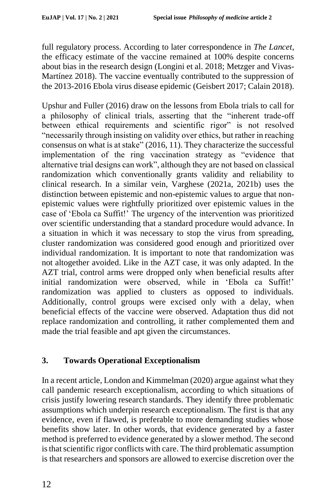full regulatory process. According to later correspondence in *The Lancet*, the efficacy estimate of the vaccine remained at 100% despite concerns about bias in the research design (Longini et al. 2018; Metzger and Vivas-Martínez 2018). The vaccine eventually contributed to the suppression of the 2013-2016 Ebola virus disease epidemic (Geisbert 2017; Calain 2018).

Upshur and Fuller (2016) draw on the lessons from Ebola trials to call for a philosophy of clinical trials, asserting that the "inherent trade-off between ethical requirements and scientific rigor" is not resolved "necessarily through insisting on validity over ethics, but rather in reaching consensus on what is at stake" (2016, 11). They characterize the successful implementation of the ring vaccination strategy as "evidence that alternative trial designs can work", although they are not based on classical randomization which conventionally grants validity and reliability to clinical research. In a similar vein, Varghese (2021a, 2021b) uses the distinction between epistemic and non-epistemic values to argue that nonepistemic values were rightfully prioritized over epistemic values in the case of 'Ebola ca Suffit!' The urgency of the intervention was prioritized over scientific understanding that a standard procedure would advance. In a situation in which it was necessary to stop the virus from spreading, cluster randomization was considered good enough and prioritized over individual randomization. It is important to note that randomization was not altogether avoided. Like in the AZT case, it was only adapted. In the AZT trial, control arms were dropped only when beneficial results after initial randomization were observed, while in 'Ebola ca Suffit!' randomization was applied to clusters as opposed to individuals. Additionally, control groups were excised only with a delay, when beneficial effects of the vaccine were observed. Adaptation thus did not replace randomization and controlling, it rather complemented them and made the trial feasible and apt given the circumstances.

## **3. Towards Operational Exceptionalism**

In a recent article, London and Kimmelman (2020) argue against what they call pandemic research exceptionalism, according to which situations of crisis justify lowering research standards. They identify three problematic assumptions which underpin research exceptionalism. The first is that any evidence, even if flawed, is preferable to more demanding studies whose benefits show later. In other words, that evidence generated by a faster method is preferred to evidence generated by a slower method. The second is that scientific rigor conflicts with care. The third problematic assumption is that researchers and sponsors are allowed to exercise discretion over the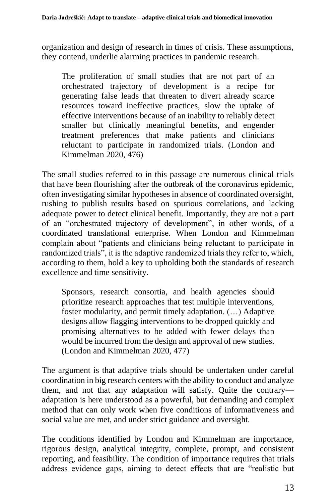organization and design of research in times of crisis. These assumptions, they contend, underlie alarming practices in pandemic research.

The proliferation of small studies that are not part of an orchestrated trajectory of development is a recipe for generating false leads that threaten to divert already scarce resources toward ineffective practices, slow the uptake of effective interventions because of an inability to reliably detect smaller but clinically meaningful benefits, and engender treatment preferences that make patients and clinicians reluctant to participate in randomized trials. (London and Kimmelman 2020, 476)

The small studies referred to in this passage are numerous clinical trials that have been flourishing after the outbreak of the coronavirus epidemic, often investigating similar hypotheses in absence of coordinated oversight, rushing to publish results based on spurious correlations, and lacking adequate power to detect clinical benefit. Importantly, they are not a part of an "orchestrated trajectory of development", in other words, of a coordinated translational enterprise. When London and Kimmelman complain about "patients and clinicians being reluctant to participate in randomized trials", it is the adaptive randomized trials they refer to, which, according to them, hold a key to upholding both the standards of research excellence and time sensitivity.

Sponsors, research consortia, and health agencies should prioritize research approaches that test multiple interventions, foster modularity, and permit timely adaptation. (…) Adaptive designs allow flagging interventions to be dropped quickly and promising alternatives to be added with fewer delays than would be incurred from the design and approval of new studies. (London and Kimmelman 2020, 477)

The argument is that adaptive trials should be undertaken under careful coordination in big research centers with the ability to conduct and analyze them, and not that any adaptation will satisfy. Quite the contrary adaptation is here understood as a powerful, but demanding and complex method that can only work when five conditions of informativeness and social value are met, and under strict guidance and oversight.

The conditions identified by London and Kimmelman are importance, rigorous design, analytical integrity, complete, prompt, and consistent reporting, and feasibility. The condition of importance requires that trials address evidence gaps, aiming to detect effects that are "realistic but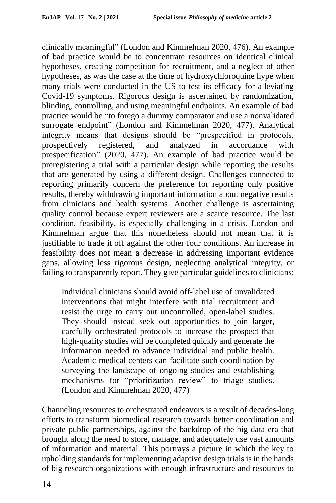clinically meaningful" (London and Kimmelman 2020, 476). An example of bad practice would be to concentrate resources on identical clinical hypotheses, creating competition for recruitment, and a neglect of other hypotheses, as was the case at the time of hydroxychloroquine hype when many trials were conducted in the US to test its efficacy for alleviating Covid-19 symptoms. Rigorous design is ascertained by randomization, blinding, controlling, and using meaningful endpoints. An example of bad practice would be "to forego a dummy comparator and use a nonvalidated surrogate endpoint" (London and Kimmelman 2020, 477). Analytical integrity means that designs should be "prespecified in protocols, prospectively registered, and analyzed in accordance with prespecification" (2020, 477). An example of bad practice would be preregistering a trial with a particular design while reporting the results that are generated by using a different design. Challenges connected to reporting primarily concern the preference for reporting only positive results, thereby withdrawing important information about negative results from clinicians and health systems. Another challenge is ascertaining quality control because expert reviewers are a scarce resource. The last condition, feasibility, is especially challenging in a crisis. London and Kimmelman argue that this nonetheless should not mean that it is justifiable to trade it off against the other four conditions. An increase in feasibility does not mean a decrease in addressing important evidence gaps, allowing less rigorous design, neglecting analytical integrity, or failing to transparently report. They give particular guidelines to clinicians:

Individual clinicians should avoid off-label use of unvalidated interventions that might interfere with trial recruitment and resist the urge to carry out uncontrolled, open-label studies. They should instead seek out opportunities to join larger, carefully orchestrated protocols to increase the prospect that high-quality studies will be completed quickly and generate the information needed to advance individual and public health. Academic medical centers can facilitate such coordination by surveying the landscape of ongoing studies and establishing mechanisms for "prioritization review" to triage studies. (London and Kimmelman 2020, 477)

Channeling resources to orchestrated endeavors is a result of decades-long efforts to transform biomedical research towards better coordination and private-public partnerships, against the backdrop of the big data era that brought along the need to store, manage, and adequately use vast amounts of information and material. This portrays a picture in which the key to upholding standards for implementing adaptive design trials is in the hands of big research organizations with enough infrastructure and resources to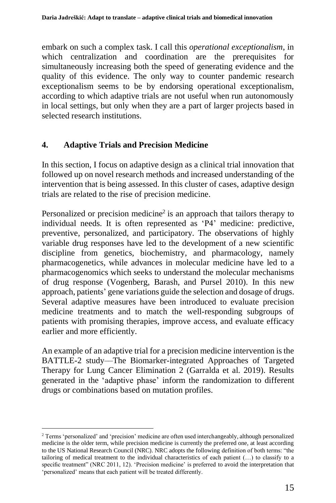embark on such a complex task. I call this *operational exceptionalism*, in which centralization and coordination are the prerequisites for simultaneously increasing both the speed of generating evidence and the quality of this evidence. The only way to counter pandemic research exceptionalism seems to be by endorsing operational exceptionalism, according to which adaptive trials are not useful when run autonomously in local settings, but only when they are a part of larger projects based in selected research institutions.

### **4. Adaptive Trials and Precision Medicine**

In this section, I focus on adaptive design as a clinical trial innovation that followed up on novel research methods and increased understanding of the intervention that is being assessed. In this cluster of cases, adaptive design trials are related to the rise of precision medicine.

Personalized or precision medicine<sup>2</sup> is an approach that tailors therapy to individual needs. It is often represented as 'P4' medicine: predictive, preventive, personalized, and participatory. The observations of highly variable drug responses have led to the development of a new scientific discipline from genetics, biochemistry, and pharmacology, namely pharmacogenetics, while advances in molecular medicine have led to a pharmacogenomics which seeks to understand the molecular mechanisms of drug response (Vogenberg, Barash, and Pursel 2010). In this new approach, patients' gene variations guide the selection and dosage of drugs. Several adaptive measures have been introduced to evaluate precision medicine treatments and to match the well-responding subgroups of patients with promising therapies, improve access, and evaluate efficacy earlier and more efficiently.

An example of an adaptive trial for a precision medicine intervention is the BATTLE-2 study––The Biomarker-integrated Approaches of Targeted Therapy for Lung Cancer Elimination 2 (Garralda et al. 2019). Results generated in the 'adaptive phase' inform the randomization to different drugs or combinations based on mutation profiles.

<sup>2</sup> Terms 'personalized' and 'precision' medicine are often used interchangeably, although personalized medicine is the older term, while precision medicine is currently the preferred one, at least according to the US National Research Council (NRC). NRC adopts the following definition of both terms: "the tailoring of medical treatment to the individual characteristics of each patient (…) to classify to a specific treatment" (NRC 2011, 12). 'Precision medicine' is preferred to avoid the interpretation that 'personalized' means that each patient will be treated differently.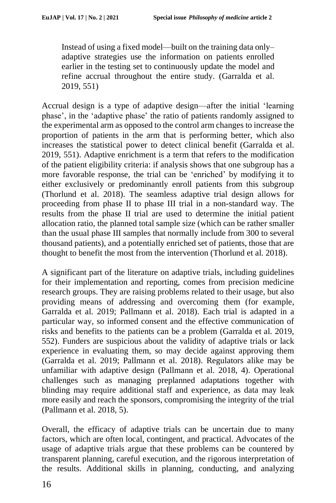Instead of using a fixed model––built on the training data only– adaptive strategies use the information on patients enrolled earlier in the testing set to continuously update the model and refine accrual throughout the entire study. (Garralda et al. 2019, 551)

Accrual design is a type of adaptive design––after the initial 'learning phase', in the 'adaptive phase' the ratio of patients randomly assigned to the experimental arm as opposed to the control arm changes to increase the proportion of patients in the arm that is performing better, which also increases the statistical power to detect clinical benefit (Garralda et al. 2019, 551). Adaptive enrichment is a term that refers to the modification of the patient eligibility criteria: if analysis shows that one subgroup has a more favorable response, the trial can be 'enriched' by modifying it to either exclusively or predominantly enroll patients from this subgroup (Thorlund et al. 2018). The seamless adaptive trial design allows for proceeding from phase II to phase III trial in a non-standard way. The results from the phase II trial are used to determine the initial patient allocation ratio, the planned total sample size (which can be rather smaller than the usual phase III samples that normally include from 300 to several thousand patients), and a potentially enriched set of patients, those that are thought to benefit the most from the intervention (Thorlund et al. 2018).

A significant part of the literature on adaptive trials, including guidelines for their implementation and reporting, comes from precision medicine research groups. They are raising problems related to their usage, but also providing means of addressing and overcoming them (for example, Garralda et al. 2019; Pallmann et al. 2018). Each trial is adapted in a particular way, so informed consent and the effective communication of risks and benefits to the patients can be a problem (Garralda et al. 2019, 552). Funders are suspicious about the validity of adaptive trials or lack experience in evaluating them, so may decide against approving them (Garralda et al. 2019; Pallmann et al. 2018). Regulators alike may be unfamiliar with adaptive design (Pallmann et al. 2018, 4). Operational challenges such as managing preplanned adaptations together with blinding may require additional staff and experience, as data may leak more easily and reach the sponsors, compromising the integrity of the trial (Pallmann et al. 2018, 5).

Overall, the efficacy of adaptive trials can be uncertain due to many factors, which are often local, contingent, and practical. Advocates of the usage of adaptive trials argue that these problems can be countered by transparent planning, careful execution, and the rigorous interpretation of the results. Additional skills in planning, conducting, and analyzing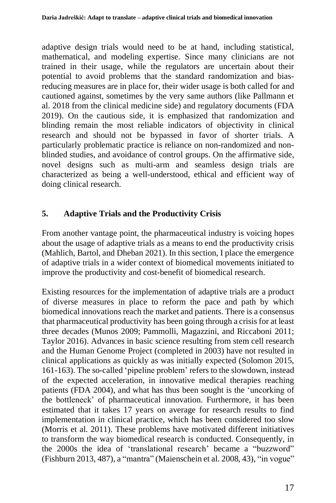adaptive design trials would need to be at hand, including statistical, mathematical, and modeling expertise. Since many clinicians are not trained in their usage, while the regulators are uncertain about their potential to avoid problems that the standard randomization and biasreducing measures are in place for, their wider usage is both called for and cautioned against, sometimes by the very same authors (like Pallmann et al. 2018 from the clinical medicine side) and regulatory documents (FDA 2019). On the cautious side, it is emphasized that randomization and blinding remain the most reliable indicators of objectivity in clinical research and should not be bypassed in favor of shorter trials. A particularly problematic practice is reliance on non-randomized and nonblinded studies, and avoidance of control groups. On the affirmative side, novel designs such as multi-arm and seamless design trials are characterized as being a well-understood, ethical and efficient way of doing clinical research.

### **5. Adaptive Trials and the Productivity Crisis**

From another vantage point, the pharmaceutical industry is voicing hopes about the usage of adaptive trials as a means to end the productivity crisis (Mahlich, Bartol, and Dheban 2021). In this section, I place the emergence of adaptive trials in a wider context of biomedical movements initiated to improve the productivity and cost-benefit of biomedical research.

Existing resources for the implementation of adaptive trials are a product of diverse measures in place to reform the pace and path by which biomedical innovations reach the market and patients. There is a consensus that pharmaceutical productivity has been going through a crisis for at least three decades (Munos 2009; Pammolli, Magazzini, and Riccaboni 2011; Taylor 2016). Advances in basic science resulting from stem cell research and the Human Genome Project (completed in 2003) have not resulted in clinical applications as quickly as was initially expected (Solomon 2015, 161-163). The so-called 'pipeline problem' refers to the slowdown, instead of the expected acceleration, in innovative medical therapies reaching patients (FDA 2004), and what has thus been sought is the 'uncorking of the bottleneck' of pharmaceutical innovation. Furthermore, it has been estimated that it takes 17 years on average for research results to find implementation in clinical practice, which has been considered too slow (Morris et al. 2011). These problems have motivated different initiatives to transform the way biomedical research is conducted. Consequently, in the 2000s the idea of 'translational research' became a "buzzword" (Fishburn 2013, 487), a "mantra" (Maienschein et al. 2008, 43), "in vogue"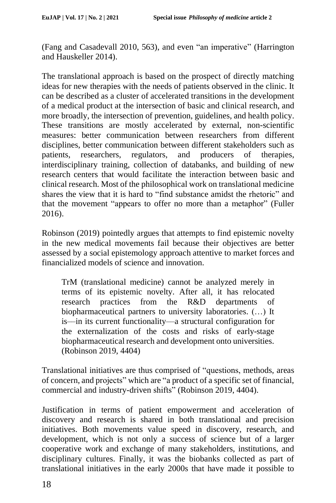(Fang and Casadevall 2010, 563), and even "an imperative" (Harrington and Hauskeller 2014).

The translational approach is based on the prospect of directly matching ideas for new therapies with the needs of patients observed in the clinic. It can be described as a cluster of accelerated transitions in the development of a medical product at the intersection of basic and clinical research, and more broadly, the intersection of prevention, guidelines, and health policy. These transitions are mostly accelerated by external, non-scientific measures: better communication between researchers from different disciplines, better communication between different stakeholders such as patients, researchers, regulators, and producers of therapies, interdisciplinary training, collection of databanks, and building of new research centers that would facilitate the interaction between basic and clinical research. Most of the philosophical work on translational medicine shares the view that it is hard to "find substance amidst the rhetoric" and that the movement "appears to offer no more than a metaphor" (Fuller 2016).

Robinson (2019) pointedly argues that attempts to find epistemic novelty in the new medical movements fail because their objectives are better assessed by a social epistemology approach attentive to market forces and financialized models of science and innovation.

TrM (translational medicine) cannot be analyzed merely in terms of its epistemic novelty. After all, it has relocated research practices from the R&D departments of biopharmaceutical partners to university laboratories. (…) It is––in its current functionality––a structural configuration for the externalization of the costs and risks of early-stage biopharmaceutical research and development onto universities. (Robinson 2019, 4404)

Translational initiatives are thus comprised of "questions, methods, areas of concern, and projects" which are "a product of a specific set of financial, commercial and industry-driven shifts" (Robinson 2019, 4404).

Justification in terms of patient empowerment and acceleration of discovery and research is shared in both translational and precision initiatives. Both movements value speed in discovery, research, and development, which is not only a success of science but of a larger cooperative work and exchange of many stakeholders, institutions, and disciplinary cultures. Finally, it was the biobanks collected as part of translational initiatives in the early 2000s that have made it possible to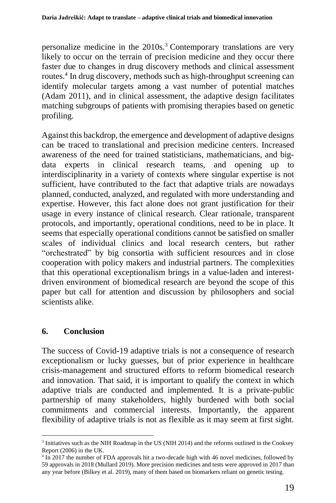personalize medicine in the 2010s.<sup>3</sup> Contemporary translations are very likely to occur on the terrain of precision medicine and they occur there faster due to changes in drug discovery methods and clinical assessment routes.<sup>4</sup> In drug discovery, methods such as high-throughput screening can identify molecular targets among a vast number of potential matches (Adam 2011), and in clinical assessment, the adaptive design facilitates matching subgroups of patients with promising therapies based on genetic profiling.

Against this backdrop, the emergence and development of adaptive designs can be traced to translational and precision medicine centers. Increased awareness of the need for trained statisticians, mathematicians, and bigdata experts in clinical research teams, and opening up to interdisciplinarity in a variety of contexts where singular expertise is not sufficient, have contributed to the fact that adaptive trials are nowadays planned, conducted, analyzed, and regulated with more understanding and expertise. However, this fact alone does not grant justification for their usage in every instance of clinical research. Clear rationale, transparent protocols, and importantly, operational conditions, need to be in place. It seems that especially operational conditions cannot be satisfied on smaller scales of individual clinics and local research centers, but rather "orchestrated" by big consortia with sufficient resources and in close cooperation with policy makers and industrial partners. The complexities that this operational exceptionalism brings in a value-laden and interestdriven environment of biomedical research are beyond the scope of this paper but call for attention and discussion by philosophers and social scientists alike.

### **6. Conclusion**

The success of Covid-19 adaptive trials is not a consequence of research exceptionalism or lucky guesses, but of prior experience in healthcare crisis-management and structured efforts to reform biomedical research and innovation. That said, it is important to qualify the context in which adaptive trials are conducted and implemented. It is a private-public partnership of many stakeholders, highly burdened with both social commitments and commercial interests. Importantly, the apparent flexibility of adaptive trials is not as flexible as it may seem at first sight.

<sup>&</sup>lt;sup>3</sup> Initiatives such as the NIH Roadmap in the US (NIH 2014) and the reforms outlined in the Cooksey Report (2006) in the UK.

<sup>4</sup> In 2017 the number of FDA approvals hit a two-decade high with 46 novel medicines, followed by 59 approvals in 2018 (Mullard 2019). More precision medicines and tests were approved in 2017 than any year before (Bilkey et al. 2019), many of them based on biomarkers reliant on genetic testing.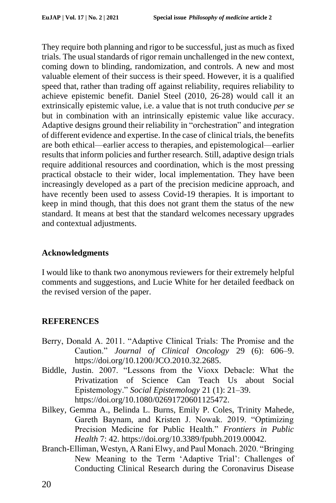They require both planning and rigor to be successful, just as much as fixed trials. The usual standards of rigor remain unchallenged in the new context, coming down to blinding, randomization, and controls. A new and most valuable element of their success is their speed. However, it is a qualified speed that, rather than trading off against reliability, requires reliability to achieve epistemic benefit. Daniel Steel (2010, 26-28) would call it an extrinsically epistemic value, i.e. a value that is not truth conducive *per se* but in combination with an intrinsically epistemic value like accuracy. Adaptive designs ground their reliability in "orchestration" and integration of different evidence and expertise. In the case of clinical trials, the benefits are both ethical––earlier access to therapies, and epistemological––earlier results that inform policies and further research. Still, adaptive design trials require additional resources and coordination, which is the most pressing practical obstacle to their wider, local implementation. They have been increasingly developed as a part of the precision medicine approach, and have recently been used to assess Covid-19 therapies. It is important to keep in mind though, that this does not grant them the status of the new standard. It means at best that the standard welcomes necessary upgrades and contextual adjustments.

#### **Acknowledgments**

I would like to thank two anonymous reviewers for their extremely helpful comments and suggestions, and Lucie White for her detailed feedback on the revised version of the paper.

#### **REFERENCES**

- Berry, Donald A. 2011. "Adaptive Clinical Trials: The Promise and the Caution." *Journal of Clinical Oncology* 29 (6): 606–9. https://doi.org/10.1200/JCO.2010.32.2685.
- Biddle, Justin. 2007. "Lessons from the Vioxx Debacle: What the Privatization of Science Can Teach Us about Social Epistemology." *Social Epistemology* 21 (1): 21–39. https://doi.org/10.1080/02691720601125472.
- Bilkey, Gemma A., Belinda L. Burns, Emily P. Coles, Trinity Mahede, Gareth Baynam, and Kristen J. Nowak. 2019. "Optimizing Precision Medicine for Public Health." *Frontiers in Public Health* 7: 42. https://doi.org/10.3389/fpubh.2019.00042.
- Branch-Elliman, Westyn, A Rani Elwy, and Paul Monach. 2020. "Bringing New Meaning to the Term 'Adaptive Trial': Challenges of Conducting Clinical Research during the Coronavirus Disease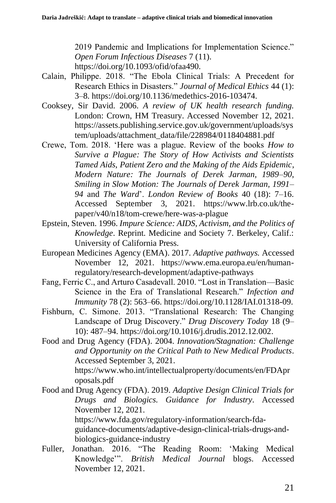2019 Pandemic and Implications for Implementation Science." *Open Forum Infectious Diseases* 7 (11). https://doi.org/10.1093/ofid/ofaa490.

- Calain, Philippe. 2018. "The Ebola Clinical Trials: A Precedent for Research Ethics in Disasters." *Journal of Medical Ethics* 44 (1): 3–8. https://doi.org/10.1136/medethics-2016-103474.
- Cooksey, Sir David. 2006. *A review of UK health research funding.* London: Crown, HM Treasury. Accessed November 12, 2021. https://assets.publishing.service.gov.uk/government/uploads/sys tem/uploads/attachment\_data/file/228984/0118404881.pdf
- Crewe, Tom. 2018. 'Here was a plague. Review of the books *How to Survive a Plague: The Story of How Activists and Scientists Tamed Aids*, *Patient Zero and the Making of the Aids Epidemic*, *Modern Nature: The Journals of Derek Jarman, 1989–90*, *Smiling in Slow Motion: The Journals of Derek Jarman, 1991– 94* and *The Ward*'. *London Review of Books* 40 (18): 7–16. Accessed September 3, 2021. https://www.lrb.co.uk/thepaper/v40/n18/tom-crewe/here-was-a-plague
- Epstein, Steven. 1996. *Impure Science: AIDS, Activism, and the Politics of Knowledge*. Reprint. Medicine and Society 7. Berkeley, Calif.: University of California Press.
- European Medicines Agency (EMA). 2017. *Adaptive pathways.* Accessed November 12, 2021. https://www.ema.europa.eu/en/humanregulatory/research-development/adaptive-pathways
- Fang, Ferric C., and Arturo Casadevall. 2010. "Lost in Translation—Basic Science in the Era of Translational Research." *Infection and Immunity* 78 (2): 563–66. https://doi.org/10.1128/IAI.01318-09.
- Fishburn, C. Simone. 2013. "Translational Research: The Changing Landscape of Drug Discovery." *Drug Discovery Today* 18 (9– 10): 487–94. https://doi.org/10.1016/j.drudis.2012.12.002.
- Food and Drug Agency (FDA). 2004. *Innovation/Stagnation: Challenge and Opportunity on the Critical Path to New Medical Products*. Accessed September 3, 2021. https://www.who.int/intellectualproperty/documents/en/FDApr

oposals.pdf

Food and Drug Agency (FDA). 2019. *Adaptive Design Clinical Trials for Drugs and Biologics. Guidance for Industry.* Accessed November 12, 2021. https://www.fda.gov/regulatory-information/search-fda-

guidance-documents/adaptive-design-clinical-trials-drugs-andbiologics-guidance-industry

Fuller, Jonathan. 2016. "The Reading Room: 'Making Medical Knowledge'". *British Medical Journal* blogs. Accessed November 12, 2021.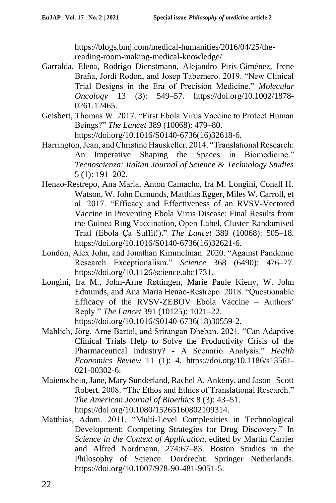https://blogs.bmj.com/medical-humanities/2016/04/25/thereading-room-making-medical-knowledge/

- Garralda, Elena, Rodrigo Dienstmann, Alejandro Piris-Giménez, Irene Braña, Jordi Rodon, and Josep Tabernero. 2019. "New Clinical Trial Designs in the Era of Precision Medicine." *Molecular Oncology* 13 (3): 549–57. https://doi.org/10.1002/1878- 0261.12465.
- Geisbert, Thomas W. 2017. "First Ebola Virus Vaccine to Protect Human Beings?" *The Lancet* 389 (10068): 479–80. https://doi.org/10.1016/S0140-6736(16)32618-6.
- Harrington, Jean, and Christine Hauskeller. 2014. "Translational Research: An Imperative Shaping the Spaces in Biomedicine." *Tecnoscienza: Italian Journal of Science & Technology Studies* 5 (1): 191–202.
- Henao-Restrepo, Ana Maria, Anton Camacho, Ira M. Longini, Conall H. Watson, W. John Edmunds, Matthias Egger, Miles W. Carroll, et al. 2017. "Efficacy and Effectiveness of an RVSV-Vectored Vaccine in Preventing Ebola Virus Disease: Final Results from the Guinea Ring Vaccination, Open-Label, Cluster-Randomised Trial (Ebola Ça Suffit!)." *The Lancet* 389 (10068): 505–18. https://doi.org/10.1016/S0140-6736(16)32621-6.
- London, Alex John, and Jonathan Kimmelman. 2020. "Against Pandemic Research Exceptionalism." *Science* 368 (6490): 476–77. https://doi.org/10.1126/science.abc1731.
- Longini, Ira M., John-Arne Røttingen, Marie Paule Kieny, W. John Edmunds, and Ana Maria Henao-Restrepo. 2018. "Questionable Efficacy of the RVSV-ZEBOV Ebola Vaccine – Authors' Reply." *The Lancet* 391 (10125): 1021–22. https://doi.org/10.1016/S0140-6736(18)30559-2.
- Mahlich, Jörg, Arne Bartol, and Srirangan Dheban. 2021. "Can Adaptive Clinical Trials Help to Solve the Productivity Crisis of the Pharmaceutical Industry? - A Scenario Analysis." *Health Economics Review* 11 (1): 4. https://doi.org/10.1186/s13561- 021-00302-6.
- Maienschein, Jane, Mary Sunderland, Rachel A. Ankeny, and Jason Scott Robert. 2008. "The Ethos and Ethics of Translational Research." *The American Journal of Bioethics* 8 (3): 43–51. https://doi.org/10.1080/15265160802109314.
- Matthias, Adam. 2011. "Multi-Level Complexities in Technological Development: Competing Strategies for Drug Discovery." In *Science in the Context of Application*, edited by Martin Carrier and Alfred Nordmann, 274:67–83. Boston Studies in the Philosophy of Science. Dordrecht: Springer Netherlands. https://doi.org/10.1007/978-90-481-9051-5.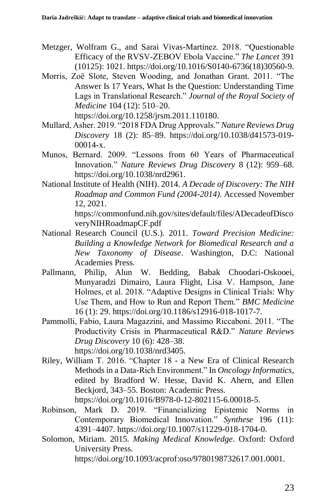- Metzger, Wolfram G., and Sarai Vivas-Martínez. 2018. "Questionable Efficacy of the RVSV-ZEBOV Ebola Vaccine." *The Lancet* 391 (10125): 1021. https://doi.org/10.1016/S0140-6736(18)30560-9.
- Morris, Zoë Slote, Steven Wooding, and Jonathan Grant. 2011. "The Answer Is 17 Years, What Is the Question: Understanding Time Lags in Translational Research." *Journal of the Royal Society of Medicine* 104 (12): 510–20. https://doi.org/10.1258/jrsm.2011.110180.
- Mullard, Asher. 2019. "2018 FDA Drug Approvals." *Nature Reviews Drug Discovery* 18 (2): 85–89. https://doi.org/10.1038/d41573-019- 00014-x.
- Munos, Bernard. 2009. "Lessons from 60 Years of Pharmaceutical Innovation." *Nature Reviews Drug Discovery* 8 (12): 959–68. https://doi.org/10.1038/nrd2961.
- National Institute of Health (NIH). 2014. *A Decade of Discovery: The NIH Roadmap and Common Fund (2004-2014).* Accessed November 12, 2021. https://commonfund.nih.gov/sites/default/files/ADecadeofDisco veryNIHRoadmapCF.pdf
- National Research Council (U.S.). 2011. *Toward Precision Medicine: Building a Knowledge Network for Biomedical Research and a New Taxonomy of Disease*. Washington, D.C: National Academies Press.
- Pallmann, Philip, Alun W. Bedding, Babak Choodari-Oskooei, Munyaradzi Dimairo, Laura Flight, Lisa V. Hampson, Jane Holmes, et al. 2018. "Adaptive Designs in Clinical Trials: Why Use Them, and How to Run and Report Them." *BMC Medicine* 16 (1): 29. https://doi.org/10.1186/s12916-018-1017-7.
- Pammolli, Fabio, Laura Magazzini, and Massimo Riccaboni. 2011. "The Productivity Crisis in Pharmaceutical R&D." *Nature Reviews Drug Discovery* 10 (6): 428–38. https://doi.org/10.1038/nrd3405.
- Riley, William T. 2016. "Chapter 18 a New Era of Clinical Research Methods in a Data-Rich Environment." In *Oncology Informatics*, edited by Bradford W. Hesse, David K. Ahern, and Ellen Beckjord, 343–55. Boston: Academic Press. https://doi.org/10.1016/B978-0-12-802115-6.00018-5.
- Robinson, Mark D. 2019. "Financializing Epistemic Norms in Contemporary Biomedical Innovation." *Synthese* 196 (11): 4391–4407. https://doi.org/10.1007/s11229-018-1704-0.
- Solomon, Miriam. 2015. *Making Medical Knowledge*. Oxford: Oxford University Press. https://doi.org/10.1093/acprof:oso/9780198732617.001.0001.